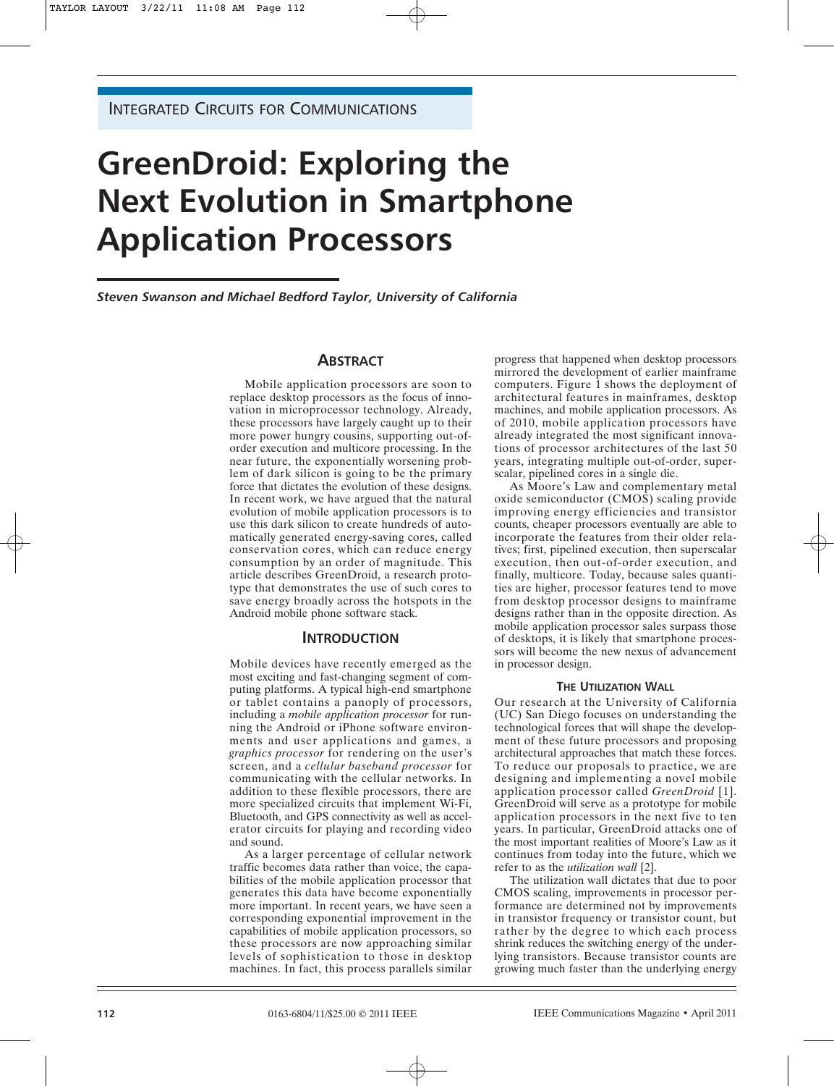# **GreenDroid: Exploring the Next Evolution in Smartphone Application Processors**

*Steven Swanson and Michael Bedford Taylor, University of California*

# **ABSTRACT**

Mobile application processors are soon to replace desktop processors as the focus of innovation in microprocessor technology. Already, these processors have largely caught up to their more power hungry cousins, supporting out-oforder execution and multicore processing. In the near future, the exponentially worsening problem of dark silicon is going to be the primary force that dictates the evolution of these designs. In recent work, we have argued that the natural evolution of mobile application processors is to use this dark silicon to create hundreds of automatically generated energy-saving cores, called conservation cores, which can reduce energy consumption by an order of magnitude. This article describes GreenDroid, a research prototype that demonstrates the use of such cores to save energy broadly across the hotspots in the Android mobile phone software stack.

# **INTRODUCTION**

Mobile devices have recently emerged as the most exciting and fast-changing segment of computing platforms. A typical high-end smartphone or tablet contains a panoply of processors, including a *mobile application processor* for running the Android or iPhone software environments and user applications and games, a *graphics processor* for rendering on the user's screen, and a *cellular baseband processor* for communicating with the cellular networks. In addition to these flexible processors, there are more specialized circuits that implement Wi-Fi, Bluetooth, and GPS connectivity as well as accelerator circuits for playing and recording video and sound.

As a larger percentage of cellular network traffic becomes data rather than voice, the capabilities of the mobile application processor that generates this data have become exponentially more important. In recent years, we have seen a corresponding exponential improvement in the capabilities of mobile application processors, so these processors are now approaching similar levels of sophistication to those in desktop machines. In fact, this process parallels similar progress that happened when desktop processors mirrored the development of earlier mainframe computers. Figure 1 shows the deployment of architectural features in mainframes, desktop machines, and mobile application processors. As of 2010, mobile application processors have already integrated the most significant innovations of processor architectures of the last 50 years, integrating multiple out-of-order, superscalar, pipelined cores in a single die.

As Moore's Law and complementary metal oxide semiconductor (CMOS) scaling provide improving energy efficiencies and transistor counts, cheaper processors eventually are able to incorporate the features from their older relatives; first, pipelined execution, then superscalar execution, then out-of-order execution, and finally, multicore. Today, because sales quantities are higher, processor features tend to move from desktop processor designs to mainframe designs rather than in the opposite direction. As mobile application processor sales surpass those of desktops, it is likely that smartphone processors will become the new nexus of advancement in processor design.

### **THE UTILIZATION WALL**

Our research at the University of California (UC) San Diego focuses on understanding the technological forces that will shape the development of these future processors and proposing architectural approaches that match these forces. To reduce our proposals to practice, we are designing and implementing a novel mobile application processor called *GreenDroid* [1]. GreenDroid will serve as a prototype for mobile application processors in the next five to ten years. In particular, GreenDroid attacks one of the most important realities of Moore's Law as it continues from today into the future, which we refer to as the *utilization wall* [2].

The utilization wall dictates that due to poor CMOS scaling, improvements in processor performance are determined not by improvements in transistor frequency or transistor count, but rather by the degree to which each process shrink reduces the switching energy of the underlying transistors. Because transistor counts are growing much faster than the underlying energy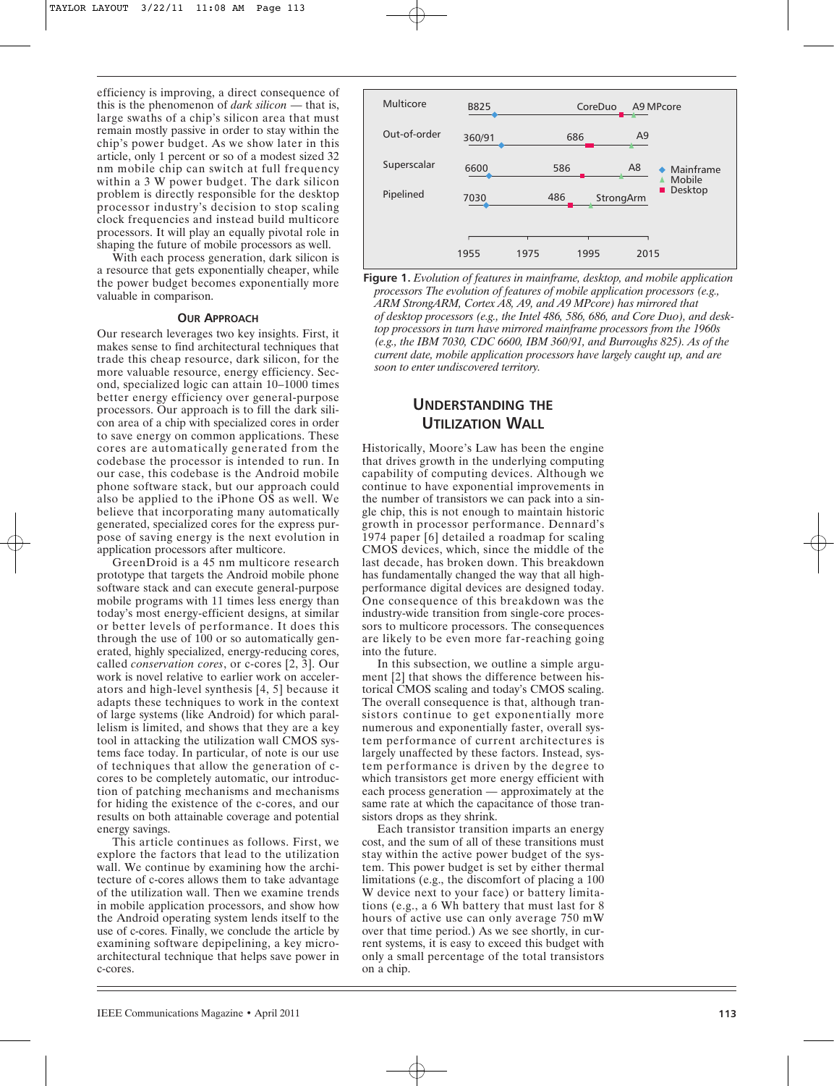efficiency is improving, a direct consequence of this is the phenomenon of *dark silicon* — that is, large swaths of a chip's silicon area that must remain mostly passive in order to stay within the chip's power budget. As we show later in this article, only 1 percent or so of a modest sized 32 nm mobile chip can switch at full frequency within a 3 W power budget. The dark silicon problem is directly responsible for the desktop processor industry's decision to stop scaling clock frequencies and instead build multicore processors. It will play an equally pivotal role in shaping the future of mobile processors as well.

With each process generation, dark silicon is a resource that gets exponentially cheaper, while the power budget becomes exponentially more valuable in comparison.

## **OUR APPROACH**

Our research leverages two key insights. First, it makes sense to find architectural techniques that trade this cheap resource, dark silicon, for the more valuable resource, energy efficiency. Second, specialized logic can attain 10–1000 times better energy efficiency over general-purpose processors. Our approach is to fill the dark silicon area of a chip with specialized cores in order to save energy on common applications. These cores are automatically generated from the codebase the processor is intended to run. In our case, this codebase is the Android mobile phone software stack, but our approach could also be applied to the iPhone OS as well. We believe that incorporating many automatically generated, specialized cores for the express purpose of saving energy is the next evolution in application processors after multicore.

GreenDroid is a 45 nm multicore research prototype that targets the Android mobile phone software stack and can execute general-purpose mobile programs with 11 times less energy than today's most energy-efficient designs, at similar or better levels of performance. It does this through the use of  $100$  or so automatically generated, highly specialized, energy-reducing cores, called *conservation cores*, or c-cores [2, 3]. Our work is novel relative to earlier work on accelerators and high-level synthesis [4, 5] because it adapts these techniques to work in the context of large systems (like Android) for which parallelism is limited, and shows that they are a key tool in attacking the utilization wall CMOS systems face today. In particular, of note is our use of techniques that allow the generation of ccores to be completely automatic, our introduction of patching mechanisms and mechanisms for hiding the existence of the c-cores, and our results on both attainable coverage and potential energy savings.

This article continues as follows. First, we explore the factors that lead to the utilization wall. We continue by examining how the architecture of c-cores allows them to take advantage of the utilization wall. Then we examine trends in mobile application processors, and show how the Android operating system lends itself to the use of c-cores. Finally, we conclude the article by examining software depipelining, a key microarchitectural technique that helps save power in c-cores.



**Figure 1.** *Evolution of features in mainframe, desktop, and mobile application processors The evolution of features of mobile application processors (e.g., ARM StrongARM, Cortex A8, A9, and A9 MPcore) has mirrored that of desktop processors (e.g., the Intel 486, 586, 686, and Core Duo), and desktop processors in turn have mirrored mainframe processors from the 1960s (e.g., the IBM 7030, CDC 6600, IBM 360/91, and Burroughs 825). As of the current date, mobile application processors have largely caught up, and are soon to enter undiscovered territory.*

# **UNDERSTANDING THE UTILIZATION WALL**

Historically, Moore's Law has been the engine that drives growth in the underlying computing capability of computing devices. Although we continue to have exponential improvements in the number of transistors we can pack into a single chip, this is not enough to maintain historic growth in processor performance. Dennard's 1974 paper [6] detailed a roadmap for scaling CMOS devices, which, since the middle of the last decade, has broken down. This breakdown has fundamentally changed the way that all highperformance digital devices are designed today. One consequence of this breakdown was the industry-wide transition from single-core processors to multicore processors. The consequences are likely to be even more far-reaching going into the future.

In this subsection, we outline a simple argument [2] that shows the difference between historical CMOS scaling and today's CMOS scaling. The overall consequence is that, although transistors continue to get exponentially more numerous and exponentially faster, overall system performance of current architectures is largely unaffected by these factors. Instead, system performance is driven by the degree to which transistors get more energy efficient with each process generation — approximately at the same rate at which the capacitance of those transistors drops as they shrink.

Each transistor transition imparts an energy cost, and the sum of all of these transitions must stay within the active power budget of the system. This power budget is set by either thermal limitations (e.g., the discomfort of placing a 100 W device next to your face) or battery limitations (e.g., a 6 Wh battery that must last for 8 hours of active use can only average 750 mW over that time period.) As we see shortly, in current systems, it is easy to exceed this budget with only a small percentage of the total transistors on a chip.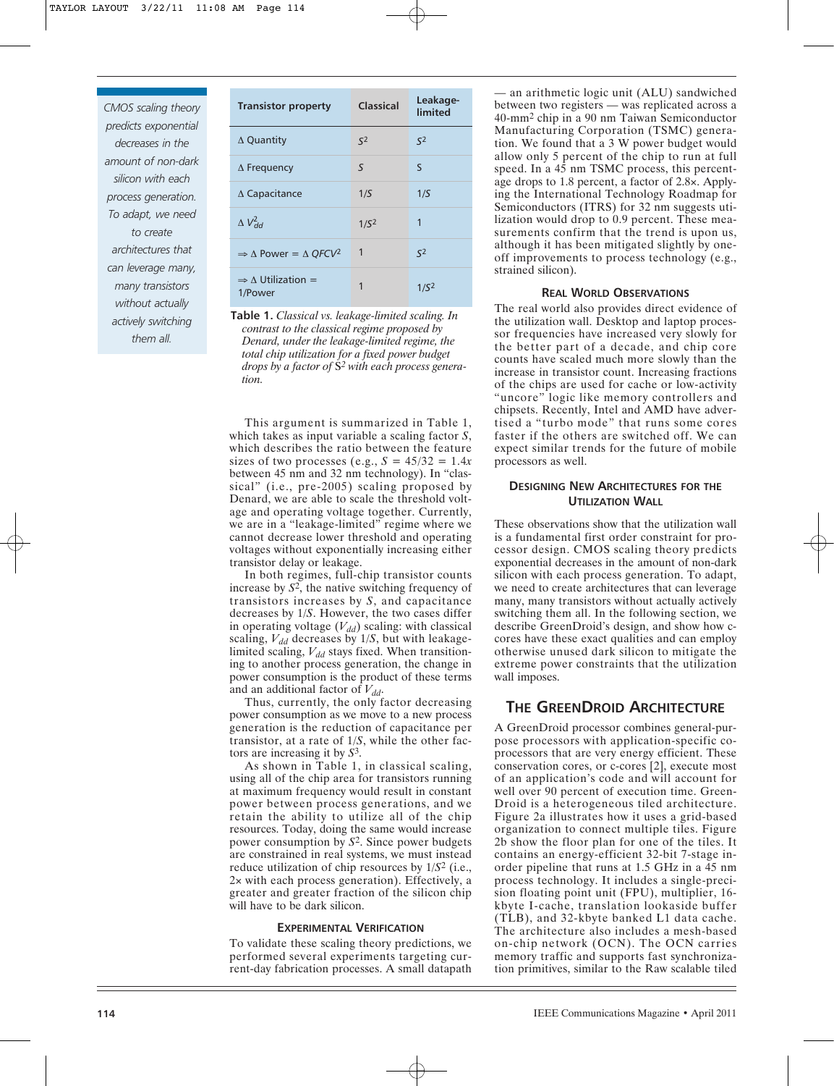*CMOS scaling theory predicts exponential decreases in the amount of non-dark silicon with each process generation. To adapt, we need to create architectures that can leverage many, many transistors without actually actively switching them all.*

| <b>Transistor property</b>                              | <b>Classical</b> | Leakage-<br>limited |
|---------------------------------------------------------|------------------|---------------------|
| $\Delta$ Quantity                                       | $S^2$            | $S^2$               |
| $\Delta$ Frequency                                      | S                | S                   |
| $\Delta$ Capacitance                                    | 1/S              | 1/S                 |
| $\Delta V_{dd}^2$                                       | 1/S <sup>2</sup> | 1                   |
| $\Rightarrow \Delta$ Power = $\Delta$ QFCV <sup>2</sup> | 1                | $S^2$               |
| $\Rightarrow$ $\Delta$ Utilization =<br>1/Power         | 1                | 1/S <sup>2</sup>    |

**Table 1.** *Classical vs. leakage-limited scaling. In contrast to the classical regime proposed by Denard, under the leakage-limited regime, the total chip utilization for a fixed power budget drops by a factor of* S*<sup>2</sup> with each process generation.*

This argument is summarized in Table 1, which takes as input variable a scaling factor *S*, which describes the ratio between the feature sizes of two processes (e.g.,  $S = 45/32 = 1.4x$ ) between 45 nm and 32 nm technology). In "classical" (i.e., pre-2005) scaling proposed by Denard, we are able to scale the threshold voltage and operating voltage together. Currently, we are in a "leakage-limited" regime where we cannot decrease lower threshold and operating voltages without exponentially increasing either transistor delay or leakage.

In both regimes, full-chip transistor counts increase by  $S^2$ , the native switching frequency of transistors increases by *S*, and capacitance decreases by 1/*S*. However, the two cases differ in operating voltage  $(V_{dd})$  scaling: with classical scaling,  $V_{dd}$  decreases by  $1/S$ , but with leakagelimited scaling,  $V_{dd}$  stays fixed. When transitioning to another process generation, the change in power consumption is the product of these terms and an additional factor of  $V_{dd}$ .

Thus, currently, the only factor decreasing power consumption as we move to a new process generation is the reduction of capacitance per transistor, at a rate of 1/*S*, while the other factors are increasing it by *S*3.

As shown in Table 1, in classical scaling, using all of the chip area for transistors running at maximum frequency would result in constant power between process generations, and we retain the ability to utilize all of the chip resources. Today, doing the same would increase power consumption by *S*2. Since power budgets are constrained in real systems, we must instead reduce utilization of chip resources by 1/*S*<sup>2</sup> (i.e., 2× with each process generation). Effectively, a greater and greater fraction of the silicon chip will have to be dark silicon.

#### **EXPERIMENTAL VERIFICATION**

To validate these scaling theory predictions, we performed several experiments targeting current-day fabrication processes. A small datapath

— an arithmetic logic unit (ALU) sandwiched between two registers — was replicated across a 40-mm2 chip in a 90 nm Taiwan Semiconductor Manufacturing Corporation (TSMC) generation. We found that a 3 W power budget would allow only 5 percent of the chip to run at full speed. In a 45 nm TSMC process, this percentage drops to 1.8 percent, a factor of 2.8×. Applying the International Technology Roadmap for Semiconductors (ITRS) for 32 nm suggests utilization would drop to 0.9 percent. These measurements confirm that the trend is upon us, although it has been mitigated slightly by oneoff improvements to process technology (e.g., strained silicon).

## **REAL WORLD OBSERVATIONS**

The real world also provides direct evidence of the utilization wall. Desktop and laptop processor frequencies have increased very slowly for the better part of a decade, and chip core counts have scaled much more slowly than the increase in transistor count. Increasing fractions of the chips are used for cache or low-activity "uncore" logic like memory controllers and chipsets. Recently, Intel and AMD have advertised a "turbo mode" that runs some cores faster if the others are switched off. We can expect similar trends for the future of mobile processors as well.

# **DESIGNING NEW ARCHITECTURES FOR THE UTILIZATION WALL**

These observations show that the utilization wall is a fundamental first order constraint for processor design. CMOS scaling theory predicts exponential decreases in the amount of non-dark silicon with each process generation. To adapt, we need to create architectures that can leverage many, many transistors without actually actively switching them all. In the following section, we describe GreenDroid's design, and show how ccores have these exact qualities and can employ otherwise unused dark silicon to mitigate the extreme power constraints that the utilization wall imposes.

# **THE GREENDROID ARCHITECTURE**

A GreenDroid processor combines general-purpose processors with application-specific coprocessors that are very energy efficient. These conservation cores, or c-cores [2], execute most of an application's code and will account for well over 90 percent of execution time. Green-Droid is a heterogeneous tiled architecture. Figure 2a illustrates how it uses a grid-based organization to connect multiple tiles. Figure 2b show the floor plan for one of the tiles. It contains an energy-efficient 32-bit 7-stage inorder pipeline that runs at 1.5 GHz in a 45 nm process technology. It includes a single-precision floating point unit (FPU), multiplier, 16 kbyte I-cache, translation lookaside buffer (TLB), and 32-kbyte banked L1 data cache. The architecture also includes a mesh-based on-chip network (OCN). The OCN carries memory traffic and supports fast synchronization primitives, similar to the Raw scalable tiled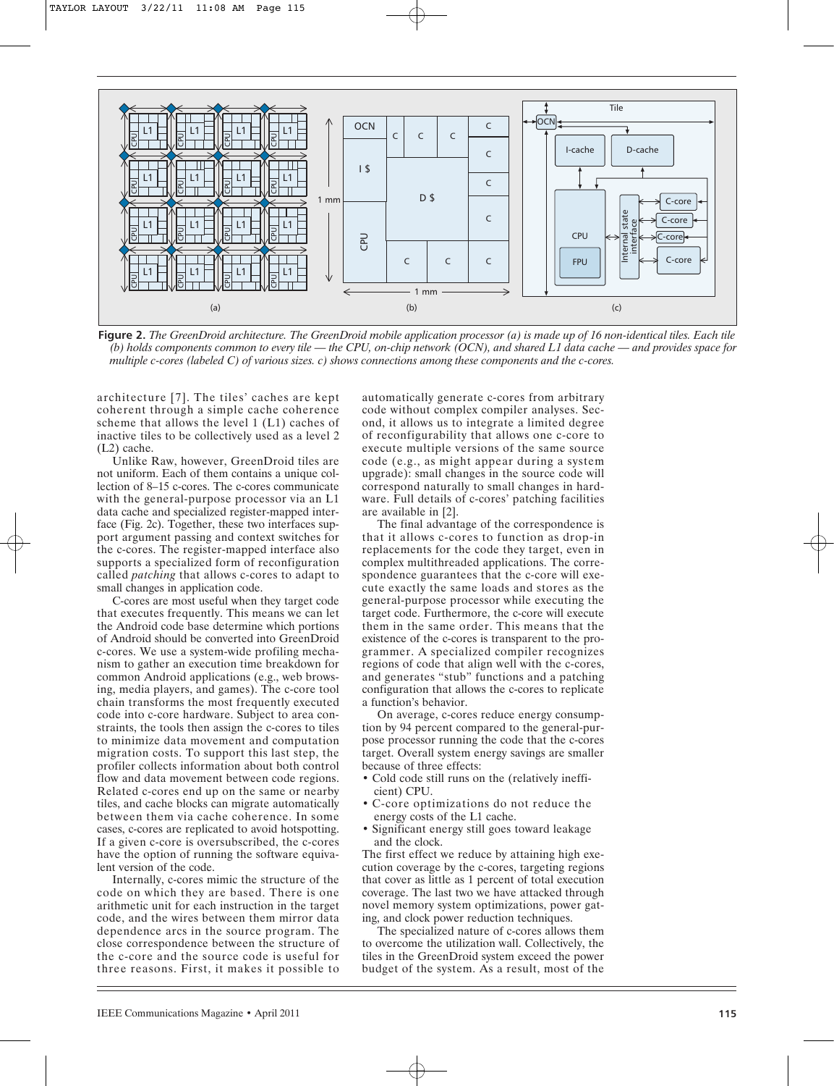

**Figure 2.** *The GreenDroid architecture. The GreenDroid mobile application processor (a) is made up of 16 non-identical tiles. Each tile (b) holds components common to every tile — the CPU, on-chip network (OCN), and shared L1 data cache — and provides space for multiple c-cores (labeled C) of various sizes. c) shows connections among these components and the c-cores.*

architecture [7]. The tiles' caches are kept coherent through a simple cache coherence scheme that allows the level 1 (L1) caches of inactive tiles to be collectively used as a level 2 (L2) cache.

Unlike Raw, however, GreenDroid tiles are not uniform. Each of them contains a unique collection of 8–15 c-cores. The c-cores communicate with the general-purpose processor via an L1 data cache and specialized register-mapped interface (Fig. 2c). Together, these two interfaces support argument passing and context switches for the c-cores. The register-mapped interface also supports a specialized form of reconfiguration called *patching* that allows c-cores to adapt to small changes in application code.

C-cores are most useful when they target code that executes frequently. This means we can let the Android code base determine which portions of Android should be converted into GreenDroid c-cores. We use a system-wide profiling mechanism to gather an execution time breakdown for common Android applications (e.g., web browsing, media players, and games). The c-core tool chain transforms the most frequently executed code into c-core hardware. Subject to area constraints, the tools then assign the c-cores to tiles to minimize data movement and computation migration costs. To support this last step, the profiler collects information about both control flow and data movement between code regions. Related c-cores end up on the same or nearby tiles, and cache blocks can migrate automatically between them via cache coherence. In some cases, c-cores are replicated to avoid hotspotting. If a given c-core is oversubscribed, the c-cores have the option of running the software equivalent version of the code.

Internally, c-cores mimic the structure of the code on which they are based. There is one arithmetic unit for each instruction in the target code, and the wires between them mirror data dependence arcs in the source program. The close correspondence between the structure of the c-core and the source code is useful for three reasons. First, it makes it possible to

automatically generate c-cores from arbitrary code without complex compiler analyses. Second, it allows us to integrate a limited degree of reconfigurability that allows one c-core to execute multiple versions of the same source code (e.g., as might appear during a system upgrade): small changes in the source code will correspond naturally to small changes in hardware. Full details of c-cores' patching facilities are available in [2].

The final advantage of the correspondence is that it allows c-cores to function as drop-in replacements for the code they target, even in complex multithreaded applications. The correspondence guarantees that the c-core will execute exactly the same loads and stores as the general-purpose processor while executing the target code. Furthermore, the c-core will execute them in the same order. This means that the existence of the c-cores is transparent to the programmer. A specialized compiler recognizes regions of code that align well with the c-cores, and generates "stub" functions and a patching configuration that allows the c-cores to replicate a function's behavior.

On average, c-cores reduce energy consumption by 94 percent compared to the general-purpose processor running the code that the c-cores target. Overall system energy savings are smaller because of three effects:

- Cold code still runs on the (relatively inefficient) CPU.
- C-core optimizations do not reduce the energy costs of the L1 cache.
- Significant energy still goes toward leakage and the clock.

The first effect we reduce by attaining high execution coverage by the c-cores, targeting regions that cover as little as 1 percent of total execution coverage. The last two we have attacked through novel memory system optimizations, power gating, and clock power reduction techniques.

The specialized nature of c-cores allows them to overcome the utilization wall. Collectively, the tiles in the GreenDroid system exceed the power budget of the system. As a result, most of the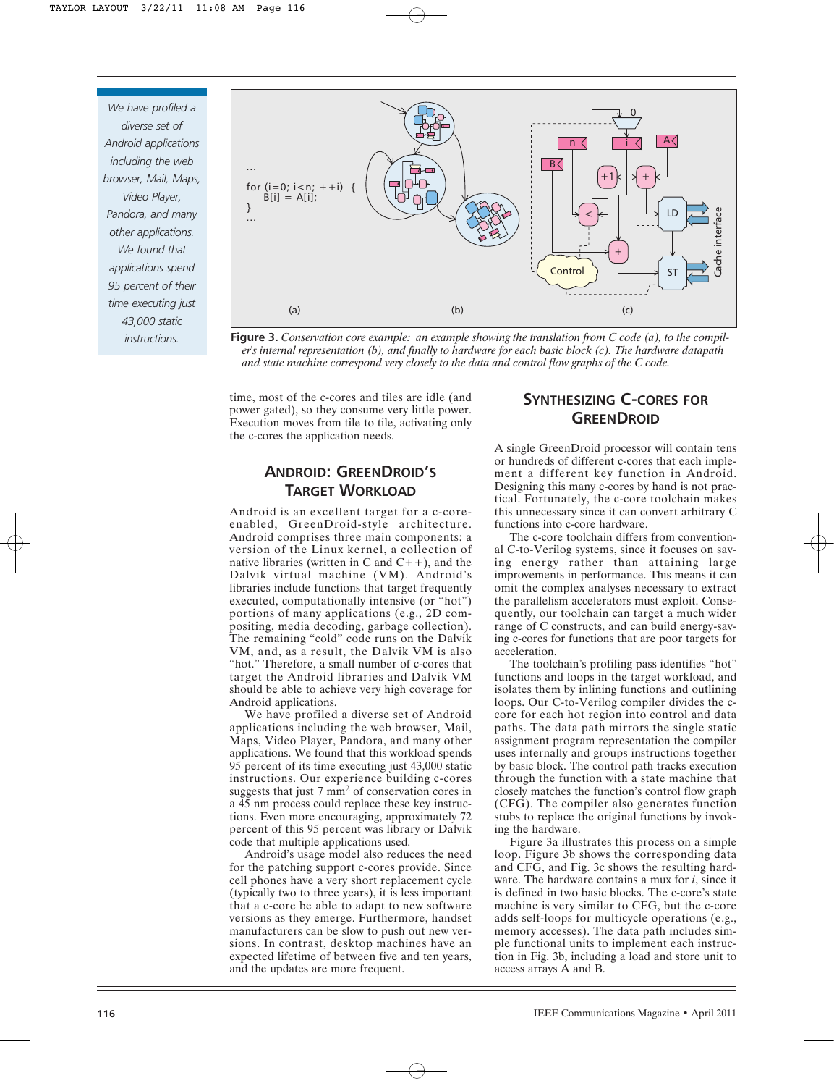*We have profiled a diverse set of Android applications including the web browser, Mail, Maps, Video Player, Pandora, and many other applications. We found that applications spend 95 percent of their time executing just 43,000 static instructions.*



**Figure 3.** *Conservation core example: an example showing the translation from C code (a), to the compiler's internal representation (b), and finally to hardware for each basic block (c). The hardware datapath and state machine correspond very closely to the data and control flow graphs of the C code.* 

time, most of the c-cores and tiles are idle (and power gated), so they consume very little power. Execution moves from tile to tile, activating only the c-cores the application needs.

# **ANDROID: GREENDROID'S TARGET WORKLOAD**

Android is an excellent target for a c-coreenabled, GreenDroid-style architecture. Android comprises three main components: a version of the Linux kernel, a collection of native libraries (written in C and  $C++$ ), and the Dalvik virtual machine (VM). Android's libraries include functions that target frequently executed, computationally intensive (or "hot") portions of many applications (e.g., 2D compositing, media decoding, garbage collection). The remaining "cold" code runs on the Dalvik VM, and, as a result, the Dalvik VM is also "hot." Therefore, a small number of c-cores that target the Android libraries and Dalvik VM should be able to achieve very high coverage for Android applications.

We have profiled a diverse set of Android applications including the web browser, Mail, Maps, Video Player, Pandora, and many other applications. We found that this workload spends 95 percent of its time executing just 43,000 static instructions. Our experience building c-cores suggests that just 7 mm2 of conservation cores in a 45 nm process could replace these key instructions. Even more encouraging, approximately 72 percent of this 95 percent was library or Dalvik code that multiple applications used.

Android's usage model also reduces the need for the patching support c-cores provide. Since cell phones have a very short replacement cycle (typically two to three years), it is less important that a c-core be able to adapt to new software versions as they emerge. Furthermore, handset manufacturers can be slow to push out new versions. In contrast, desktop machines have an expected lifetime of between five and ten years, and the updates are more frequent.

# **SYNTHESIZING C-CORES FOR GREENDROID**

A single GreenDroid processor will contain tens or hundreds of different c-cores that each implement a different key function in Android. Designing this many c-cores by hand is not practical. Fortunately, the c-core toolchain makes this unnecessary since it can convert arbitrary C functions into c-core hardware.

The c-core toolchain differs from conventional C-to-Verilog systems, since it focuses on saving energy rather than attaining large improvements in performance. This means it can omit the complex analyses necessary to extract the parallelism accelerators must exploit. Consequently, our toolchain can target a much wider range of C constructs, and can build energy-saving c-cores for functions that are poor targets for acceleration.

The toolchain's profiling pass identifies "hot" functions and loops in the target workload, and isolates them by inlining functions and outlining loops. Our C-to-Verilog compiler divides the ccore for each hot region into control and data paths. The data path mirrors the single static assignment program representation the compiler uses internally and groups instructions together by basic block. The control path tracks execution through the function with a state machine that closely matches the function's control flow graph (CFG). The compiler also generates function stubs to replace the original functions by invoking the hardware.

Figure 3a illustrates this process on a simple loop. Figure 3b shows the corresponding data and CFG, and Fig. 3c shows the resulting hardware. The hardware contains a mux for *i*, since it is defined in two basic blocks. The c-core's state machine is very similar to CFG, but the c-core adds self-loops for multicycle operations (e.g., memory accesses). The data path includes simple functional units to implement each instruction in Fig. 3b, including a load and store unit to access arrays A and B.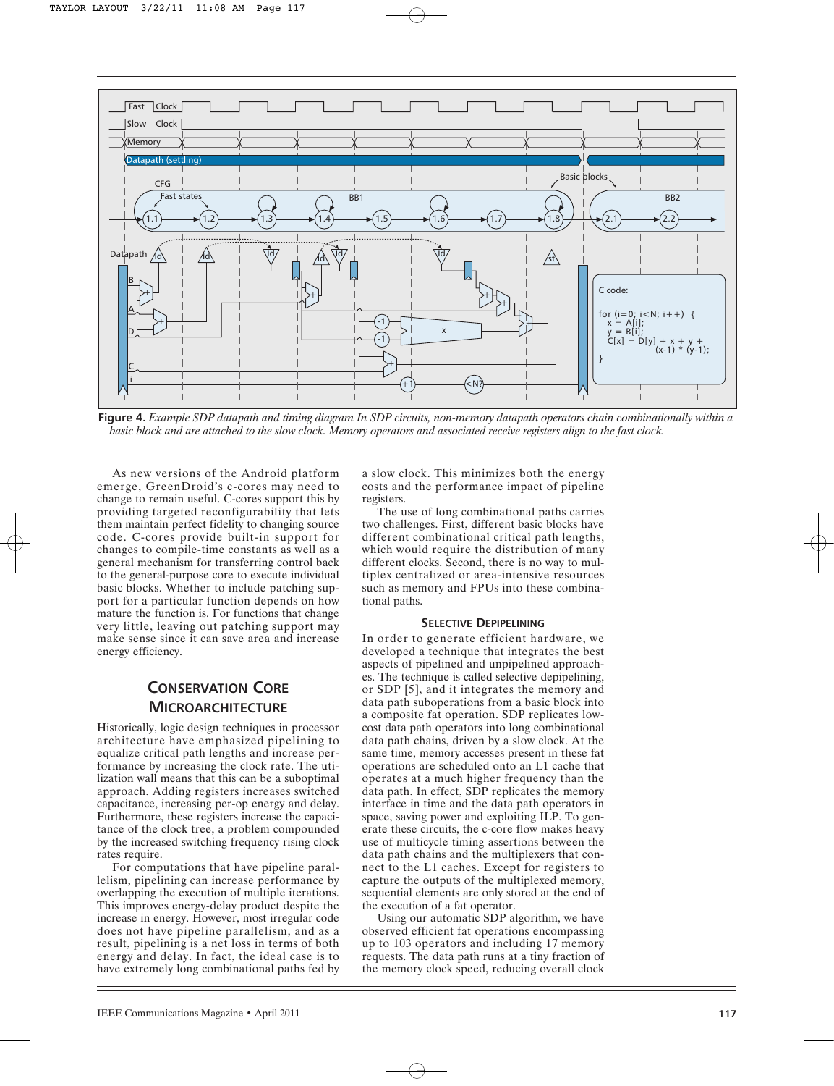

**Figure 4.** *Example SDP datapath and timing diagram In SDP circuits, non-memory datapath operators chain combinationally within a basic block and are attached to the slow clock. Memory operators and associated receive registers align to the fast clock.*

As new versions of the Android platform emerge, GreenDroid's c-cores may need to change to remain useful. C-cores support this by providing targeted reconfigurability that lets them maintain perfect fidelity to changing source code. C-cores provide built-in support for changes to compile-time constants as well as a general mechanism for transferring control back to the general-purpose core to execute individual basic blocks. Whether to include patching support for a particular function depends on how mature the function is. For functions that change very little, leaving out patching support may make sense since it can save area and increase energy efficiency.

# **CONSERVATION CORE MICROARCHITECTURE**

Historically, logic design techniques in processor architecture have emphasized pipelining to equalize critical path lengths and increase performance by increasing the clock rate. The utilization wall means that this can be a suboptimal approach. Adding registers increases switched capacitance, increasing per-op energy and delay. Furthermore, these registers increase the capacitance of the clock tree, a problem compounded by the increased switching frequency rising clock rates require.

For computations that have pipeline parallelism, pipelining can increase performance by overlapping the execution of multiple iterations. This improves energy-delay product despite the increase in energy. However, most irregular code does not have pipeline parallelism, and as a result, pipelining is a net loss in terms of both energy and delay. In fact, the ideal case is to have extremely long combinational paths fed by

a slow clock. This minimizes both the energy costs and the performance impact of pipeline registers.

The use of long combinational paths carries two challenges. First, different basic blocks have different combinational critical path lengths, which would require the distribution of many different clocks. Second, there is no way to multiplex centralized or area-intensive resources such as memory and FPUs into these combinational paths.

### **SELECTIVE DEPIPELINING**

In order to generate efficient hardware, we developed a technique that integrates the best aspects of pipelined and unpipelined approaches. The technique is called selective depipelining, or SDP [5], and it integrates the memory and data path suboperations from a basic block into a composite fat operation. SDP replicates lowcost data path operators into long combinational data path chains, driven by a slow clock. At the same time, memory accesses present in these fat operations are scheduled onto an L1 cache that operates at a much higher frequency than the data path. In effect, SDP replicates the memory interface in time and the data path operators in space, saving power and exploiting ILP. To generate these circuits, the c-core flow makes heavy use of multicycle timing assertions between the data path chains and the multiplexers that connect to the L1 caches. Except for registers to capture the outputs of the multiplexed memory, sequential elements are only stored at the end of the execution of a fat operator.

Using our automatic SDP algorithm, we have observed efficient fat operations encompassing up to 103 operators and including 17 memory requests. The data path runs at a tiny fraction of the memory clock speed, reducing overall clock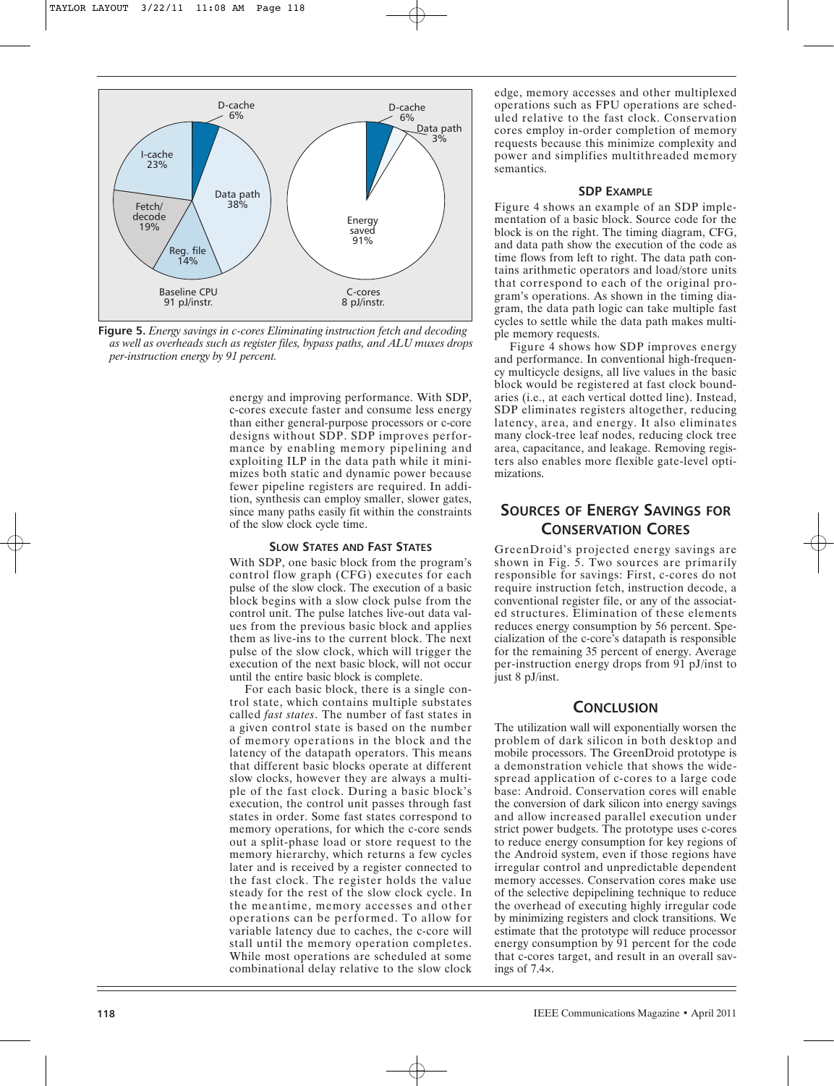

**Figure 5.** *Energy savings in c-cores Eliminating instruction fetch and decoding as well as overheads such as register files, bypass paths, and ALU muxes drops per-instruction energy by 91 percent.* 

energy and improving performance. With SDP, c-cores execute faster and consume less energy than either general-purpose processors or c-core designs without SDP. SDP improves performance by enabling memory pipelining and exploiting ILP in the data path while it minimizes both static and dynamic power because fewer pipeline registers are required. In addition, synthesis can employ smaller, slower gates, since many paths easily fit within the constraints of the slow clock cycle time.

## **SLOW STATES AND FAST STATES**

With SDP, one basic block from the program's control flow graph (CFG) executes for each pulse of the slow clock. The execution of a basic block begins with a slow clock pulse from the control unit. The pulse latches live-out data values from the previous basic block and applies them as live-ins to the current block. The next pulse of the slow clock, which will trigger the execution of the next basic block, will not occur until the entire basic block is complete.

For each basic block, there is a single control state, which contains multiple substates called *fast states*. The number of fast states in a given control state is based on the number of memory operations in the block and the latency of the datapath operators. This means that different basic blocks operate at different slow clocks, however they are always a multiple of the fast clock. During a basic block's execution, the control unit passes through fast states in order. Some fast states correspond to memory operations, for which the c-core sends out a split-phase load or store request to the memory hierarchy, which returns a few cycles later and is received by a register connected to the fast clock. The register holds the value steady for the rest of the slow clock cycle. In the meantime, memory accesses and other operations can be performed. To allow for variable latency due to caches, the c-core will stall until the memory operation completes. While most operations are scheduled at some combinational delay relative to the slow clock edge, memory accesses and other multiplexed operations such as FPU operations are scheduled relative to the fast clock. Conservation cores employ in-order completion of memory requests because this minimize complexity and power and simplifies multithreaded memory semantics.

#### **SDP EXAMPLE**

Figure 4 shows an example of an SDP implementation of a basic block. Source code for the block is on the right. The timing diagram, CFG, and data path show the execution of the code as time flows from left to right. The data path contains arithmetic operators and load/store units that correspond to each of the original program's operations. As shown in the timing diagram, the data path logic can take multiple fast cycles to settle while the data path makes multiple memory requests.

Figure 4 shows how SDP improves energy and performance. In conventional high-frequency multicycle designs, all live values in the basic block would be registered at fast clock boundaries (i.e., at each vertical dotted line). Instead, SDP eliminates registers altogether, reducing latency, area, and energy. It also eliminates many clock-tree leaf nodes, reducing clock tree area, capacitance, and leakage. Removing registers also enables more flexible gate-level optimizations.

# **SOURCES OF ENERGY SAVINGS FOR CONSERVATION CORES**

GreenDroid's projected energy savings are shown in Fig. 5. Two sources are primarily responsible for savings: First, c-cores do not require instruction fetch, instruction decode, a conventional register file, or any of the associated structures. Elimination of these elements reduces energy consumption by 56 percent. Specialization of the c-core's datapath is responsible for the remaining 35 percent of energy. Average per-instruction energy drops from 91 pJ/inst to just 8 pJ/inst.

# **CONCLUSION**

The utilization wall will exponentially worsen the problem of dark silicon in both desktop and mobile processors. The GreenDroid prototype is a demonstration vehicle that shows the widespread application of c-cores to a large code base: Android. Conservation cores will enable the conversion of dark silicon into energy savings and allow increased parallel execution under strict power budgets. The prototype uses c-cores to reduce energy consumption for key regions of the Android system, even if those regions have irregular control and unpredictable dependent memory accesses. Conservation cores make use of the selective depipelining technique to reduce the overhead of executing highly irregular code by minimizing registers and clock transitions. We estimate that the prototype will reduce processor energy consumption by 91 percent for the code that c-cores target, and result in an overall savings of 7.4×.